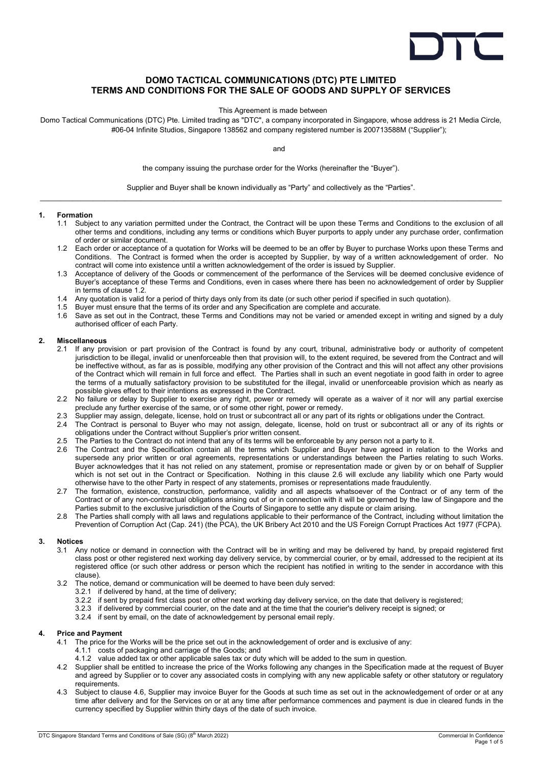

# DOMO TACTICAL COMMUNICATIONS (DTC) PTE LIMITED TERMS AND CONDITIONS FOR THE SALE OF GOODS AND SUPPLY OF SERVICES

This Agreement is made between

Domo Tactical Communications (DTC) Pte. Limited trading as "DTC", a company incorporated in Singapore, whose address is 21 Media Circle, #06-04 Infinite Studios, Singapore 138562 and company registered number is 200713588M ("Supplier");

and

the company issuing the purchase order for the Works (hereinafter the "Buyer").

Supplier and Buyer shall be known individually as "Party" and collectively as the "Parties".  $\_$  , and the state of the state of the state of the state of the state of the state of the state of the state of the state of the state of the state of the state of the state of the state of the state of the state of the

#### 1. Formation

- 1.1 Subject to any variation permitted under the Contract, the Contract will be upon these Terms and Conditions to the exclusion of all other terms and conditions, including any terms or conditions which Buyer purports to apply under any purchase order, confirmation of order or similar document.
- 1.2 Each order or acceptance of a quotation for Works will be deemed to be an offer by Buyer to purchase Works upon these Terms and Conditions. The Contract is formed when the order is accepted by Supplier, by way of a written acknowledgement of order. No contract will come into existence until a written acknowledgement of the order is issued by Supplier.
- 1.3 Acceptance of delivery of the Goods or commencement of the performance of the Services will be deemed conclusive evidence of Buyer's acceptance of these Terms and Conditions, even in cases where there has been no acknowledgement of order by Supplier in terms of clause 1.2.
- 1.4 Any quotation is valid for a period of thirty days only from its date (or such other period if specified in such quotation).<br>1.5 Buver must ensure that the terms of its order and any Specification are complete and accu
- 1.5 Buyer must ensure that the terms of its order and any Specification are complete and accurate.
- 1.6 Save as set out in the Contract, these Terms and Conditions may not be varied or amended except in writing and signed by a duly authorised officer of each Party.

#### 2. Miscellaneous

- 2.1 If any provision or part provision of the Contract is found by any court, tribunal, administrative body or authority of competent jurisdiction to be illegal, invalid or unenforceable then that provision will, to the extent required, be severed from the Contract and will be ineffective without, as far as is possible, modifying any other provision of the Contract and this will not affect any other provisions of the Contract which will remain in full force and effect. The Parties shall in such an event negotiate in good faith in order to agree the terms of a mutually satisfactory provision to be substituted for the illegal, invalid or unenforceable provision which as nearly as possible gives effect to their intentions as expressed in the Contract.
- 2.2 No failure or delay by Supplier to exercise any right, power or remedy will operate as a waiver of it nor will any partial exercise preclude any further exercise of the same, or of some other right, power or remedy.
- 2.3 Supplier may assign, delegate, license, hold on trust or subcontract all or any part of its rights or obligations under the Contract.
- 2.4 The Contract is personal to Buyer who may not assign, delegate, license, hold on trust or subcontract all or any of its rights or obligations under the Contract without Supplier's prior written consent.
- 2.5 The Parties to the Contract do not intend that any of its terms will be enforceable by any person not a party to it.
- 2.6 The Contract and the Specification contain all the terms which Supplier and Buyer have agreed in relation to the Works and supersede any prior written or oral agreements, representations or understandings between the Parties relating to such Works. Buyer acknowledges that it has not relied on any statement, promise or representation made or given by or on behalf of Supplier which is not set out in the Contract or Specification. Nothing in this clause 2.6 will exclude any liability which one Party would otherwise have to the other Party in respect of any statements, promises or representations made fraudulently.
- 2.7 The formation, existence, construction, performance, validity and all aspects whatsoever of the Contract or of any term of the Contract or of any non-contractual obligations arising out of or in connection with it will be governed by the law of Singapore and the Parties submit to the exclusive jurisdiction of the Courts of Singapore to settle any dispute or claim arising.
- 2.8 The Parties shall comply with all laws and regulations applicable to their performance of the Contract, including without limitation the Prevention of Corruption Act (Cap. 241) (the PCA), the UK Bribery Act 2010 and the US Foreign Corrupt Practices Act 1977 (FCPA).

## 3. Notices

- 3.1 Any notice or demand in connection with the Contract will be in writing and may be delivered by hand, by prepaid registered first class post or other registered next working day delivery service, by commercial courier, or by email, addressed to the recipient at its registered office (or such other address or person which the recipient has notified in writing to the sender in accordance with this clause).
- 3.2 The notice, demand or communication will be deemed to have been duly served:
	- 3.2.1 if delivered by hand, at the time of delivery;
	- 3.2.2 if sent by prepaid first class post or other next working day delivery service, on the date that delivery is registered;
	- 3.2.3 if delivered by commercial courier, on the date and at the time that the courier's delivery receipt is signed; or
	- 3.2.4 if sent by email, on the date of acknowledgement by personal email reply.

## 4. Price and Payment

- 4.1 The price for the Works will be the price set out in the acknowledgement of order and is exclusive of any: 4.1.1 costs of packaging and carriage of the Goods; and
	- 4.1.2 value added tax or other applicable sales tax or duty which will be added to the sum in question.
- 4.2 Supplier shall be entitled to increase the price of the Works following any changes in the Specification made at the request of Buyer and agreed by Supplier or to cover any associated costs in complying with any new applicable safety or other statutory or regulatory requirements.
- 4.3 Subject to clause 4.6, Supplier may invoice Buyer for the Goods at such time as set out in the acknowledgement of order or at any time after delivery and for the Services on or at any time after performance commences and payment is due in cleared funds in the currency specified by Supplier within thirty days of the date of such invoice.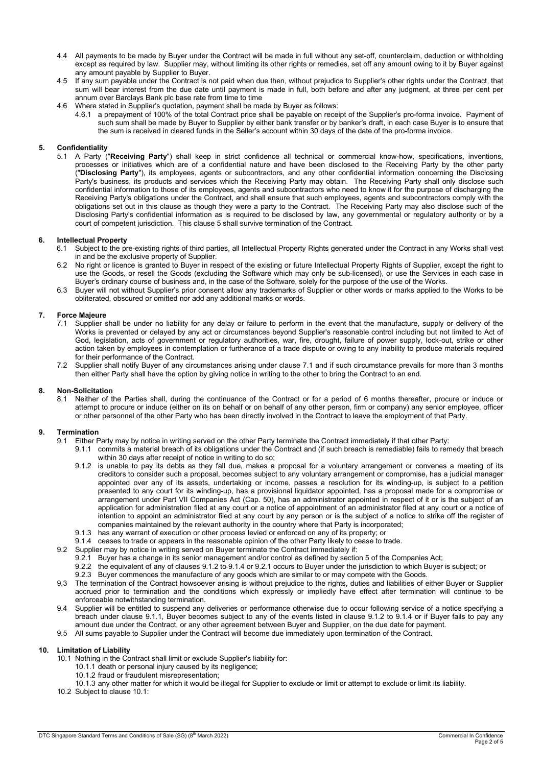- 4.4 All payments to be made by Buyer under the Contract will be made in full without any set-off, counterclaim, deduction or withholding except as required by law. Supplier may, without limiting its other rights or remedies, set off any amount owing to it by Buyer against any amount payable by Supplier to Buyer.
- 4.5 If any sum payable under the Contract is not paid when due then, without prejudice to Supplier's other rights under the Contract, that sum will bear interest from the due date until payment is made in full, both before and after any judgment, at three per cent per annum over Barclays Bank plc base rate from time to time
- 4.6 Where stated in Supplier's quotation, payment shall be made by Buyer as follows:
	- 4.6.1 a prepayment of 100% of the total Contract price shall be payable on receipt of the Supplier's pro-forma invoice. Payment of such sum shall be made by Buyer to Supplier by either bank transfer or by banker's draft, in each case Buyer is to ensure that the sum is received in cleared funds in the Seller's account within 30 days of the date of the pro-forma invoice.

## 5. Confidentiality

5.1 A Party ("Receiving Party") shall keep in strict confidence all technical or commercial know-how, specifications, inventions, processes or initiatives which are of a confidential nature and have been disclosed to the Receiving Party by the other party ("Disclosing Party"), its employees, agents or subcontractors, and any other confidential information concerning the Disclosing Party's business, its products and services which the Receiving Party may obtain. The Receiving Party shall only disclose such confidential information to those of its employees, agents and subcontractors who need to know it for the purpose of discharging the Receiving Party's obligations under the Contract, and shall ensure that such employees, agents and subcontractors comply with the obligations set out in this clause as though they were a party to the Contract. The Receiving Party may also disclose such of the Disclosing Party's confidential information as is required to be disclosed by law, any governmental or regulatory authority or by a court of competent jurisdiction. This clause 5 shall survive termination of the Contract.

## 6. Intellectual Property

- 6.1 Subject to the pre-existing rights of third parties, all Intellectual Property Rights generated under the Contract in any Works shall vest in and be the exclusive property of Supplier.
- 6.2 No right or licence is granted to Buyer in respect of the existing or future Intellectual Property Rights of Supplier, except the right to use the Goods, or resell the Goods (excluding the Software which may only be sub-licensed), or use the Services in each case in Buyer's ordinary course of business and, in the case of the Software, solely for the purpose of the use of the Works.
- 6.3 Buyer will not without Supplier's prior consent allow any trademarks of Supplier or other words or marks applied to the Works to be obliterated, obscured or omitted nor add any additional marks or words.

## 7. Force Majeure

- 7.1 Supplier shall be under no liability for any delay or failure to perform in the event that the manufacture, supply or delivery of the Works is prevented or delayed by any act or circumstances beyond Supplier's reasonable control including but not limited to Act of God, legislation, acts of government or regulatory authorities, war, fire, drought, failure of power supply, lock-out, strike or other action taken by employees in contemplation or furtherance of a trade dispute or owing to any inability to produce materials required for their performance of the Contract.
- 7.2 Supplier shall notify Buyer of any circumstances arising under clause 7.1 and if such circumstance prevails for more than 3 months then either Party shall have the option by giving notice in writing to the other to bring the Contract to an end.

#### 8. Non-Solicitation

8.1 Neither of the Parties shall, during the continuance of the Contract or for a period of 6 months thereafter, procure or induce or attempt to procure or induce (either on its on behalf or on behalf of any other person, firm or company) any senior employee, officer or other personnel of the other Party who has been directly involved in the Contract to leave the employment of that Party.

#### 9. Termination

- 9.1 Either Party may by notice in writing served on the other Party terminate the Contract immediately if that other Party:
	- 9.1.1 commits a material breach of its obligations under the Contract and (if such breach is remediable) fails to remedy that breach within 30 days after receipt of notice in writing to do so;
	- 9.1.2 is unable to pay its debts as they fall due, makes a proposal for a voluntary arrangement or convenes a meeting of its creditors to consider such a proposal, becomes subject to any voluntary arrangement or compromise, has a judicial manager appointed over any of its assets, undertaking or income, passes a resolution for its winding-up, is subject to a petition presented to any court for its winding-up, has a provisional liquidator appointed, has a proposal made for a compromise or arrangement under Part VII Companies Act (Cap. 50), has an administrator appointed in respect of it or is the subject of an application for administration filed at any court or a notice of appointment of an administrator filed at any court or a notice of intention to appoint an administrator filed at any court by any person or is the subject of a notice to strike off the register of companies maintained by the relevant authority in the country where that Party is incorporated;
	- 9.1.3 has any warrant of execution or other process levied or enforced on any of its property; or
	- 9.1.4 ceases to trade or appears in the reasonable opinion of the other Party likely to cease to trade.
- 9.2 Supplier may by notice in writing served on Buyer terminate the Contract immediately if:
	- 9.2.1 Buyer has a change in its senior management and/or control as defined by section 5 of the Companies Act;
	- 9.2.2 the equivalent of any of clauses 9.1.2 to 9.1.4 or 9.2.1 occurs to Buyer under the jurisdiction to which Buyer is subject; or
	- 9.2.3 Buyer commences the manufacture of any goods which are similar to or may compete with the Goods.
- 9.3 The termination of the Contract howsoever arising is without prejudice to the rights, duties and liabilities of either Buyer or Supplier accrued prior to termination and the conditions which expressly or impliedly have effect after termination will continue to be enforceable notwithstanding termination.
- 9.4 Supplier will be entitled to suspend any deliveries or performance otherwise due to occur following service of a notice specifying a breach under clause 9.1.1, Buyer becomes subject to any of the events listed in clause 9.1.2 to 9.1.4 or if Buyer fails to pay any amount due under the Contract, or any other agreement between Buyer and Supplier, on the due date for payment.
- 9.5 All sums payable to Supplier under the Contract will become due immediately upon termination of the Contract.

#### 10. Limitation of Liability

- 10.1 Nothing in the Contract shall limit or exclude Supplier's liability for:
	- 10.1.1 death or personal injury caused by its negligence;
	- 10.1.2 fraud or fraudulent misrepresentation;
- 10.1.3 any other matter for which it would be illegal for Supplier to exclude or limit or attempt to exclude or limit its liability. 10.2 Subject to clause 10.1:
-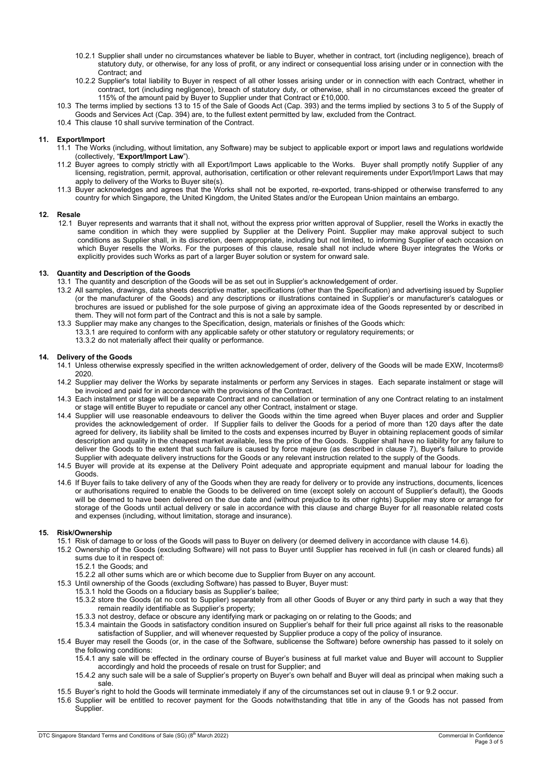- 10.2.1 Supplier shall under no circumstances whatever be liable to Buyer, whether in contract, tort (including negligence), breach of statutory duty, or otherwise, for any loss of profit, or any indirect or consequential loss arising under or in connection with the Contract; and
- 10.2.2 Supplier's total liability to Buyer in respect of all other losses arising under or in connection with each Contract, whether in contract, tort (including negligence), breach of statutory duty, or otherwise, shall in no circumstances exceed the greater of 115% of the amount paid by Buyer to Supplier under that Contract or £10,000.
- 10.3 The terms implied by sections 13 to 15 of the Sale of Goods Act (Cap. 393) and the terms implied by sections 3 to 5 of the Supply of Goods and Services Act (Cap. 394) are, to the fullest extent permitted by law, excluded from the Contract.
- 10.4 This clause 10 shall survive termination of the Contract.

## 11. Export/Import

- 11.1 The Works (including, without limitation, any Software) may be subject to applicable export or import laws and regulations worldwide (collectively, "Export/Import Law").
- 11.2 Buyer agrees to comply strictly with all Export/Import Laws applicable to the Works. Buyer shall promptly notify Supplier of any licensing, registration, permit, approval, authorisation, certification or other relevant requirements under Export/Import Laws that may apply to delivery of the Works to Buyer site(s).
- 11.3 Buyer acknowledges and agrees that the Works shall not be exported, re-exported, trans-shipped or otherwise transferred to any country for which Singapore, the United Kingdom, the United States and/or the European Union maintains an embargo.

## 12. Resale

12.1 Buyer represents and warrants that it shall not, without the express prior written approval of Supplier, resell the Works in exactly the same condition in which they were supplied by Supplier at the Delivery Point. Supplier may make approval subject to such conditions as Supplier shall, in its discretion, deem appropriate, including but not limited, to informing Supplier of each occasion on which Buyer resells the Works. For the purposes of this clause, resale shall not include where Buyer integrates the Works or explicitly provides such Works as part of a larger Buyer solution or system for onward sale.

## 13. Quantity and Description of the Goods

- 13.1 The quantity and description of the Goods will be as set out in Supplier's acknowledgement of order.
- 13.2 All samples, drawings, data sheets descriptive matter, specifications (other than the Specification) and advertising issued by Supplier (or the manufacturer of the Goods) and any descriptions or illustrations contained in Supplier's or manufacturer's catalogues or brochures are issued or published for the sole purpose of giving an approximate idea of the Goods represented by or described in them. They will not form part of the Contract and this is not a sale by sample.
- 13.3 Supplier may make any changes to the Specification, design, materials or finishes of the Goods which: 13.3.1 are required to conform with any applicable safety or other statutory or regulatory requirements; or 13.3.2 do not materially affect their quality or performance.

## 14. Delivery of the Goods

- 14.1 Unless otherwise expressly specified in the written acknowledgement of order, delivery of the Goods will be made EXW, Incoterms® 2020.
- 14.2 Supplier may deliver the Works by separate instalments or perform any Services in stages. Each separate instalment or stage will be invoiced and paid for in accordance with the provisions of the Contract.
- 14.3 Each instalment or stage will be a separate Contract and no cancellation or termination of any one Contract relating to an instalment or stage will entitle Buyer to repudiate or cancel any other Contract, instalment or stage.
- 14.4 Supplier will use reasonable endeavours to deliver the Goods within the time agreed when Buyer places and order and Supplier provides the acknowledgement of order. If Supplier fails to deliver the Goods for a period of more than 120 days after the date agreed for delivery, its liability shall be limited to the costs and expenses incurred by Buyer in obtaining replacement goods of similar description and quality in the cheapest market available, less the price of the Goods. Supplier shall have no liability for any failure to deliver the Goods to the extent that such failure is caused by force majeure (as described in clause 7), Buyer's failure to provide Supplier with adequate delivery instructions for the Goods or any relevant instruction related to the supply of the Goods.
- 14.5 Buyer will provide at its expense at the Delivery Point adequate and appropriate equipment and manual labour for loading the Goods.
- 14.6 If Buyer fails to take delivery of any of the Goods when they are ready for delivery or to provide any instructions, documents, licences or authorisations required to enable the Goods to be delivered on time (except solely on account of Supplier's default), the Goods will be deemed to have been delivered on the due date and (without prejudice to its other rights) Supplier may store or arrange for storage of the Goods until actual delivery or sale in accordance with this clause and charge Buyer for all reasonable related costs and expenses (including, without limitation, storage and insurance).

## 15. Risk/Ownership

- 15.1 Risk of damage to or loss of the Goods will pass to Buyer on delivery (or deemed delivery in accordance with clause 14.6).
- 15.2 Ownership of the Goods (excluding Software) will not pass to Buyer until Supplier has received in full (in cash or cleared funds) all sums due to it in respect of:
	- 15.2.1 the Goods; and
	- 15.2.2 all other sums which are or which become due to Supplier from Buyer on any account.
- 15.3 Until ownership of the Goods (excluding Software) has passed to Buyer, Buyer must:
	- 15.3.1 hold the Goods on a fiduciary basis as Supplier's bailee;
	- 15.3.2 store the Goods (at no cost to Supplier) separately from all other Goods of Buyer or any third party in such a way that they remain readily identifiable as Supplier's property;
	- 15.3.3 not destroy, deface or obscure any identifying mark or packaging on or relating to the Goods; and
	- 15.3.4 maintain the Goods in satisfactory condition insured on Supplier's behalf for their full price against all risks to the reasonable satisfaction of Supplier, and will whenever requested by Supplier produce a copy of the policy of insurance.
- 15.4 Buyer may resell the Goods (or, in the case of the Software, sublicense the Software) before ownership has passed to it solely on the following conditions:
	- 15.4.1 any sale will be effected in the ordinary course of Buyer's business at full market value and Buyer will account to Supplier accordingly and hold the proceeds of resale on trust for Supplier; and
	- 15.4.2 any such sale will be a sale of Supplier's property on Buyer's own behalf and Buyer will deal as principal when making such a sale.
- 15.5 Buyer's right to hold the Goods will terminate immediately if any of the circumstances set out in clause 9.1 or 9.2 occur.
- 15.6 Supplier will be entitled to recover payment for the Goods notwithstanding that title in any of the Goods has not passed from Supplier.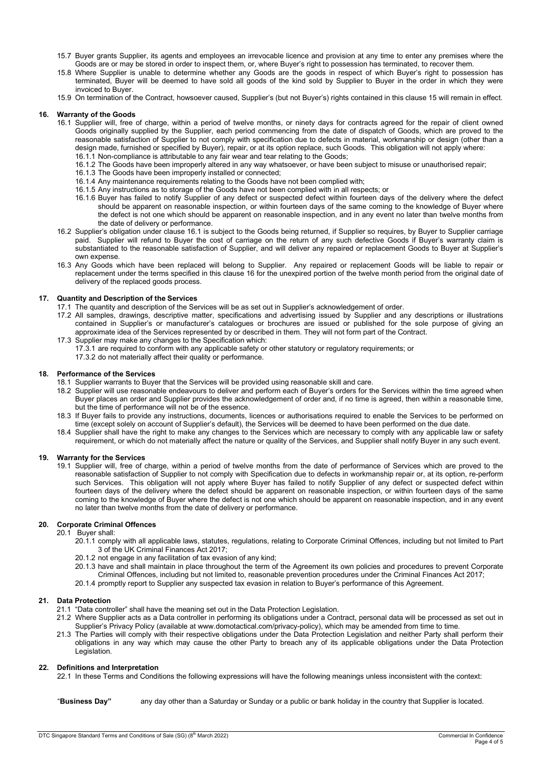- 15.7 Buyer grants Supplier, its agents and employees an irrevocable licence and provision at any time to enter any premises where the Goods are or may be stored in order to inspect them, or, where Buyer's right to possession has terminated, to recover them.
- 15.8 Where Supplier is unable to determine whether any Goods are the goods in respect of which Buyer's right to possession has terminated, Buyer will be deemed to have sold all goods of the kind sold by Supplier to Buyer in the order in which they were invoiced to Buyer.
- 15.9 On termination of the Contract, howsoever caused, Supplier's (but not Buyer's) rights contained in this clause 15 will remain in effect.

#### 16. Warranty of the Goods

- 16.1 Supplier will, free of charge, within a period of twelve months, or ninety days for contracts agreed for the repair of client owned Goods originally supplied by the Supplier, each period commencing from the date of dispatch of Goods, which are proved to the reasonable satisfaction of Supplier to not comply with specification due to defects in material, workmanship or design (other than a design made, furnished or specified by Buyer), repair, or at its option replace, such Goods. This obligation will not apply where: 16.1.1 Non-compliance is attributable to any fair wear and tear relating to the Goods;
	- 16.1.2 The Goods have been improperly altered in any way whatsoever, or have been subject to misuse or unauthorised repair;
	- 16.1.3 The Goods have been improperly installed or connected;
	- 16.1.4 Any maintenance requirements relating to the Goods have not been complied with;
	- 16.1.5 Any instructions as to storage of the Goods have not been complied with in all respects; or
	- 16.1.6 Buyer has failed to notify Supplier of any defect or suspected defect within fourteen days of the delivery where the defect should be apparent on reasonable inspection, or within fourteen days of the same coming to the knowledge of Buyer where the defect is not one which should be apparent on reasonable inspection, and in any event no later than twelve months from the date of delivery or performance.
- 16.2 Supplier's obligation under clause 16.1 is subject to the Goods being returned, if Supplier so requires, by Buyer to Supplier carriage paid. Supplier will refund to Buyer the cost of carriage on the return of any such defective Goods if Buyer's warranty claim is substantiated to the reasonable satisfaction of Supplier, and will deliver any repaired or replacement Goods to Buyer at Supplier's own expense.
- 16.3 Any Goods which have been replaced will belong to Supplier. Any repaired or replacement Goods will be liable to repair or replacement under the terms specified in this clause 16 for the unexpired portion of the twelve month period from the original date of delivery of the replaced goods process.

#### 17. Quantity and Description of the Services

- 17.1 The quantity and description of the Services will be as set out in Supplier's acknowledgement of order.
- 17.2 All samples, drawings, descriptive matter, specifications and advertising issued by Supplier and any descriptions or illustrations contained in Supplier's or manufacturer's catalogues or brochures are issued or published for the sole purpose of giving an approximate idea of the Services represented by or described in them. They will not form part of the Contract.
- 17.3 Supplier may make any changes to the Specification which: 17.3.1 are required to conform with any applicable safety or other statutory or regulatory requirements; or 17.3.2 do not materially affect their quality or performance.

# 18. Performance of the Services

- 18.1 Supplier warrants to Buyer that the Services will be provided using reasonable skill and care.
- 18.2 Supplier will use reasonable endeavours to deliver and perform each of Buyer's orders for the Services within the time agreed when Buyer places an order and Supplier provides the acknowledgement of order and, if no time is agreed, then within a reasonable time, but the time of performance will not be of the essence.
- 18.3 If Buyer fails to provide any instructions, documents, licences or authorisations required to enable the Services to be performed on time (except solely on account of Supplier's default), the Services will be deemed to have been performed on the due date.
- 18.4 Supplier shall have the right to make any changes to the Services which are necessary to comply with any applicable law or safety requirement, or which do not materially affect the nature or quality of the Services, and Supplier shall notify Buyer in any such event.

## 19. Warranty for the Services

19.1 Supplier will, free of charge, within a period of twelve months from the date of performance of Services which are proved to the reasonable satisfaction of Supplier to not comply with Specification due to defects in workmanship repair or, at its option, re-perform such Services. This obligation will not apply where Buyer has failed to notify Supplier of any defect or suspected defect within fourteen days of the delivery where the defect should be apparent on reasonable inspection, or within fourteen days of the same coming to the knowledge of Buyer where the defect is not one which should be apparent on reasonable inspection, and in any event no later than twelve months from the date of delivery or performance.

## 20. Corporate Criminal Offences

#### 20.1 Buyer shall:

- 20.1.1 comply with all applicable laws, statutes, regulations, relating to Corporate Criminal Offences, including but not limited to Part 3 of the UK Criminal Finances Act 2017;
- 20.1.2 not engage in any facilitation of tax evasion of any kind;
- 20.1.3 have and shall maintain in place throughout the term of the Agreement its own policies and procedures to prevent Corporate Criminal Offences, including but not limited to, reasonable prevention procedures under the Criminal Finances Act 2017;
- 20.1.4 promptly report to Supplier any suspected tax evasion in relation to Buyer's performance of this Agreement.
- 

## 21. Data Protection

- 21.1 "Data controller" shall have the meaning set out in the Data Protection Legislation.
- 21.2 Where Supplier acts as a Data controller in performing its obligations under a Contract, personal data will be processed as set out in Supplier's Privacy Policy (available at www.domotactical.com/privacy-policy), which may be amended from time to time.
- 21.3 The Parties will comply with their respective obligations under the Data Protection Legislation and neither Party shall perform their obligations in any way which may cause the other Party to breach any of its applicable obligations under the Data Protection Legislation.

#### 22. Definitions and Interpretation

22.1 In these Terms and Conditions the following expressions will have the following meanings unless inconsistent with the context:

"Business Day" any day other than a Saturday or Sunday or a public or bank holiday in the country that Supplier is located.